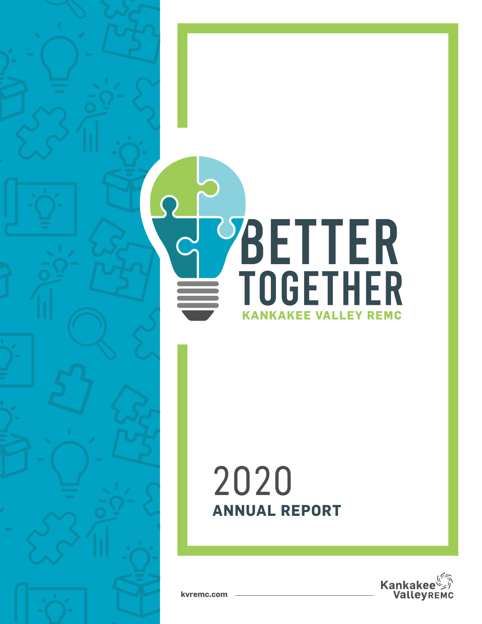# SUPPLETTER **KANKAKEE VALLEY REMC**

# **ANNUAL REPORT** 2020



**kvremc.com**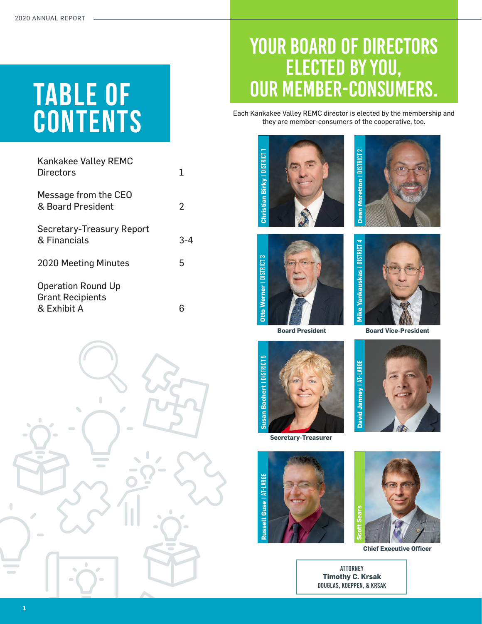# TABLE OF **CONTENTS**

| <b>Kankakee Valley REMC</b><br><b>Directors</b>                     | 1       |
|---------------------------------------------------------------------|---------|
| Message from the CEO<br>& Board President                           | 2       |
| Secretary-Treasury Report<br>& Financials                           | $3 - 4$ |
| <b>2020 Meeting Minutes</b>                                         | 5       |
| <b>Operation Round Up</b><br><b>Grant Recipients</b><br>& Exhibit A |         |



### Your board of directors elected by you, our member-consumers.

Each Kankakee Valley REMC director is elected by the membership and they are member-consumers of the cooperative, too.







**Board President**



**Secretary-Treasurer**





**Chief Executive Officer**

Attorney **Timothy C. Krsak** Douglas, Koeppen, & KRSAK



**Board Vice-President** 

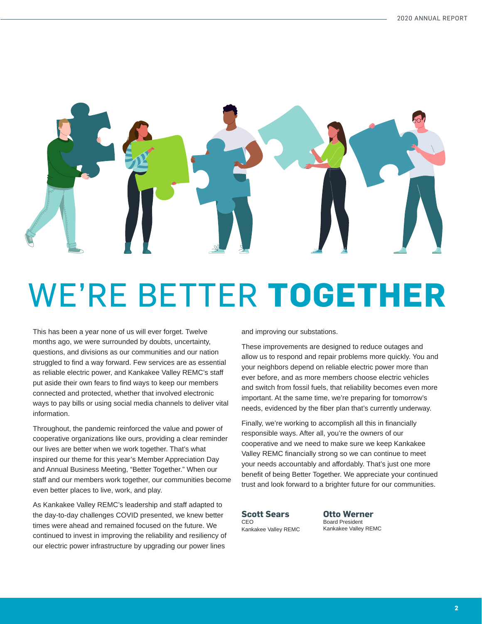

# WE'RE BETTER **TOGETHER**

This has been a year none of us will ever forget. Twelve months ago, we were surrounded by doubts, uncertainty, questions, and divisions as our communities and our nation struggled to find a way forward. Few services are as essential as reliable electric power, and Kankakee Valley REMC's staff put aside their own fears to find ways to keep our members connected and protected, whether that involved electronic ways to pay bills or using social media channels to deliver vital information.

Throughout, the pandemic reinforced the value and power of cooperative organizations like ours, providing a clear reminder our lives are better when we work together. That's what inspired our theme for this year's Member Appreciation Day and Annual Business Meeting, "Better Together." When our staff and our members work together, our communities become even better places to live, work, and play.

As Kankakee Valley REMC's leadership and staff adapted to the day-to-day challenges COVID presented, we knew better times were ahead and remained focused on the future. We continued to invest in improving the reliability and resiliency of our electric power infrastructure by upgrading our power lines

and improving our substations.

These improvements are designed to reduce outages and allow us to respond and repair problems more quickly. You and your neighbors depend on reliable electric power more than ever before, and as more members choose electric vehicles and switch from fossil fuels, that reliability becomes even more important. At the same time, we're preparing for tomorrow's needs, evidenced by the fiber plan that's currently underway.

Finally, we're working to accomplish all this in financially responsible ways. After all, you're the owners of our cooperative and we need to make sure we keep Kankakee Valley REMC financially strong so we can continue to meet your needs accountably and affordably. That's just one more benefit of being Better Together. We appreciate your continued trust and look forward to a brighter future for our communities.

**Scott Sears** CEO Kankakee Valley REMC **Otto Werner** Board President Kankakee Valley REMC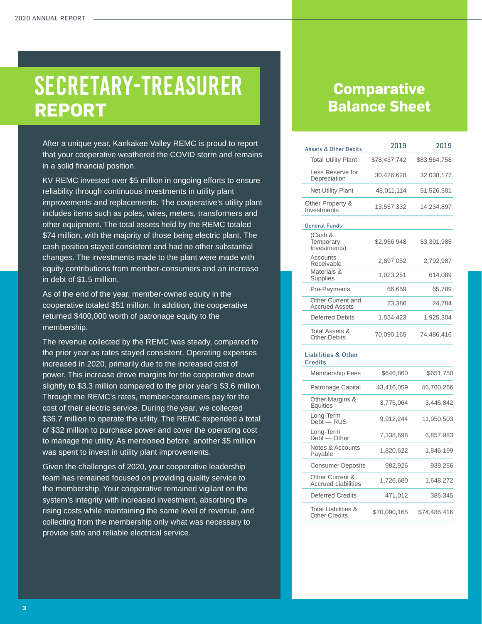## SECRETARY-TREASURER **REPORT**

After a unique year, Kankakee Valley REMC is proud to report that your cooperative weathered the COVID storm and remains in a solid financial position.

KV REMC invested over \$5 million in ongoing efforts to ensure reliability through continuous investments in utility plant improvements and replacements. The cooperative's utility plant includes items such as poles, wires, meters, transformers and other equipment. The total assets held by the REMC totaled \$74 million, with the majority of those being electric plant. The cash position stayed consistent and had no other substantial changes. The investments made to the plant were made with equity contributions from member-consumers and an increase in debt of \$1.5 million.

As of the end of the year, member-owned equity in the cooperative totaled \$51 million. In addition, the cooperative returned \$400,000 worth of patronage equity to the membership.

The revenue collected by the REMC was steady, compared to the prior year as rates stayed consistent. Operating expenses increased in 2020, primarily due to the increased cost of power. This increase drove margins for the cooperative down slightly to \$3.3 million compared to the prior year's \$3.6 million. Through the REMC's rates, member-consumers pay for the cost of their electric service. During the year, we collected \$36.7 million to operate the utility. The REMC expended a total of \$32 million to purchase power and cover the operating cost to manage the utility. As mentioned before, another \$5 million was spent to invest in utility plant improvements.

Given the challenges of 2020, your cooperative leadership team has remained focused on providing quality service to the membership. Your cooperative remained vigilant on the system's integrity with increased investment, absorbing the rising costs while maintaining the same level of revenue, and collecting from the membership only what was necessary to provide safe and reliable electrical service.

#### **Comparative Balance Sheet**

| <b>Assets &amp; Other Debits</b>              | 2019         | 2019         |
|-----------------------------------------------|--------------|--------------|
| <b>Total Utility Plant</b>                    | \$78,437,742 | \$83,564,758 |
| Less Reserve for<br>Depreciation              | 30,426,628   | 32,038,177   |
| <b>Net Utility Plant</b>                      | 48,011,114   | 51,526,581   |
| Other Property &<br>Investments               | 13,557,332   | 14,234,897   |
| <b>General Funds</b>                          |              |              |
| (Cash &<br>Temporary<br>Investments)          | \$2,956,948  | \$3,301,985  |
| <b>Accounts</b><br>Receivable                 | 2,897,052    | 2,792,987    |
| Materials &<br>Supplies                       | 1,023,251    | 614,089      |
| <b>Pre-Payments</b>                           | 66,659       | 65,789       |
| Other Current and<br><b>Accrued Assets</b>    | 23,386       | 24,784       |
| Deferred Debits                               | 1,554,423    | 1,925,304    |
| <b>Total Assets &amp;</b><br>Other Debits     | 70,090,165   | 74,486,416   |
| Liabilities & Other<br><b>Credits</b>         |              |              |
| <b>Membership Fees</b>                        | \$646,860    | \$651,750    |
| Patronage Capital                             | 43,416,059   | 46,760,266   |
| Other Margins &<br>Equities                   | 3,775,064    | 3,446,842    |
| Long-Term<br>Debt - RUS                       | 9,912,244    | 11,950,503   |
| Long-Term<br>Debt - Other                     | 7,338,698    | 6,857,983    |
| <b>Notes &amp; Accounts</b><br>Payable        | 1,820,622    | 1,846,199    |
| <b>Consumer Deposits</b>                      | 982,926      | 939,256      |
| Other Current &<br><b>Accrued Liabilities</b> | 1,726,680    | 1,648,272    |
| <b>Deferred Credits</b>                       | 471,012      | 385,345      |
| Total Liabilities &<br><b>Other Credits</b>   | \$70,090,165 | \$74,486,416 |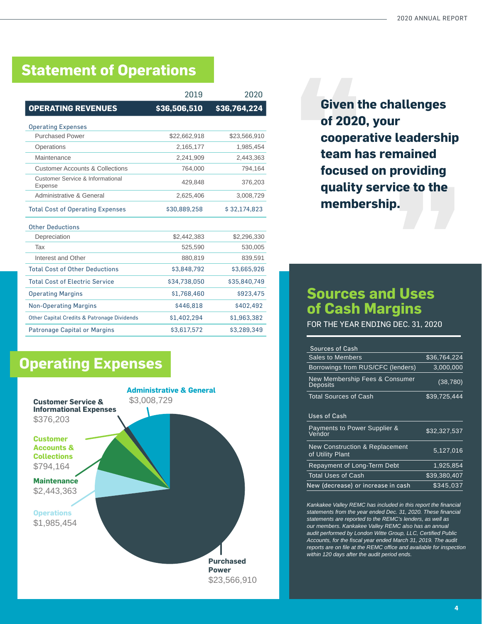#### **Statement of Operations**

|                                                        | 2019         | 2020         |
|--------------------------------------------------------|--------------|--------------|
| <b>OPERATING REVENUES</b>                              | \$36,506,510 | \$36,764,224 |
| <b>Operating Expenses</b>                              |              |              |
| <b>Purchased Power</b>                                 | \$22,662,918 | \$23,566,910 |
| Operations                                             | 2,165,177    | 1,985,454    |
| Maintenance                                            | 2,241,909    | 2,443,363    |
| <b>Customer Accounts &amp; Collections</b>             | 764,000      | 794,164      |
| Customer Service & Informational<br>Expense            | 429,848      | 376,203      |
| Administrative & General                               | 2,625,406    | 3,008,729    |
| <b>Total Cost of Operating Expenses</b>                | \$30,889,258 | \$32,174,823 |
| <b>Other Deductions</b>                                |              |              |
| Depreciation                                           | \$2,442,383  | \$2,296,330  |
| Tax                                                    | 525,590      | 530,005      |
| Interest and Other                                     | 880,819      | 839,591      |
| <b>Total Cost of Other Deductions</b>                  | \$3,848,792  | \$3,665,926  |
| <b>Total Cost of Electric Service</b>                  | \$34.738.050 | \$35,840,749 |
| <b>Operating Margins</b>                               | \$1,768,460  | \$923,475    |
| <b>Non-Operating Margins</b>                           | \$446,818    | \$402,492    |
| <b>Other Capital Credits &amp; Patronage Dividends</b> | \$1,402,294  | \$1,963,382  |
| <b>Patronage Capital or Margins</b>                    | \$3,617,572  | \$3,289,349  |

#### **Given the challenges of 2020, your cooperative leadership team has remained focused on providing quality service to the membership.**

#### **Sources and Uses of Cash Margins**

FOR THE YEAR ENDING DEC. 31, 2020

| <b>Sources of Cash</b>                                        |              |
|---------------------------------------------------------------|--------------|
| <b>Sales to Members</b>                                       | \$36,764,224 |
| Borrowings from RUS/CFC (lenders)                             | 3,000,000    |
| New Membership Fees & Consumer<br><b>Deposits</b>             | (38, 780)    |
| <b>Total Sources of Cash</b>                                  | \$39,725,444 |
|                                                               |              |
| Uses of Cash                                                  |              |
| Payments to Power Supplier &<br>Vendor                        | \$32,327,537 |
| <b>New Construction &amp; Replacement</b><br>of Utility Plant | 5,127,016    |
| Repayment of Long-Term Debt                                   | 1,925,854    |
| <b>Total Uses of Cash</b>                                     | \$39,380,407 |
| New (decrease) or increase in cash                            | \$345.037    |

*Kankakee Valley REMC has included in this report the financial statements from the year ended Dec. 31, 2020. These financial statements are reported to the REMC's lenders, as well as our members. Kankakee Valley REMC also has an annual audit performed by London Witte Group, LLC, Certified Public Accounts, for the fiscal year ended March 31, 2019. The audit reports are on file at the REMC office and available for inspection within 120 days after the audit period ends.* 

#### **Operating Expenses**

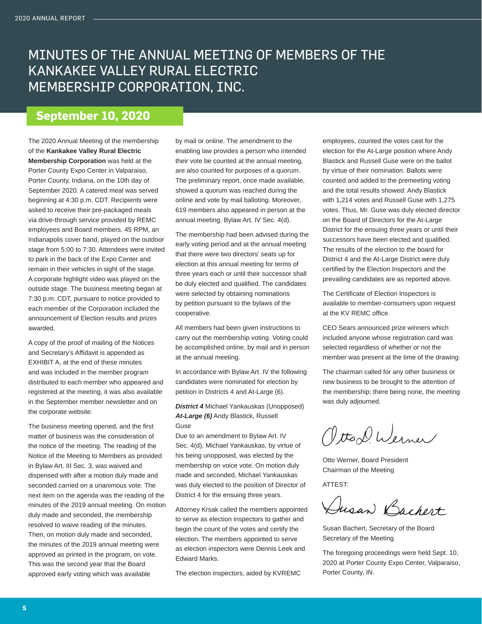#### MINUTES OF THE ANNUAL MEETING OF MEMBERS OF THE KANKAKEE VALLEY RURAL ELECTRIC MEMBERSHIP CORPORATION, INC.

#### **September 10, 2020**

The 2020 Annual Meeting of the membership of the **Kankakee Valley Rural Electric Membership Corporation** was held at the Porter County Expo Center in Valparaiso, Porter County, Indiana, on the 10th day of September 2020. A catered meal was served beginning at 4:30 p.m. CDT. Recipients were asked to receive their pre-packaged meals via drive-through service provided by REMC employees and Board members. 45 RPM, an Indianapolis cover band, played on the outdoor stage from 5:00 to 7:30. Attendees were invited to park in the back of the Expo Center and remain in their vehicles in sight of the stage. A corporate highlight video was played on the outside stage. The business meeting began at 7:30 p.m. CDT, pursuant to notice provided to each member of the Corporation included the announcement of Election results and prizes awarded.

A copy of the proof of mailing of the Notices and Secretary's Affidavit is appended as EXHIBIT A, at the end of these minutes and was included in the member program distributed to each member who appeared and registered at the meeting, it was also available in the September member newsletter and on the corporate website.

The business meeting opened, and the first matter of business was the consideration of the notice of the meeting. The reading of the Notice of the Meeting to Members as provided in Bylaw Art. III Sec. 3, was waived and dispensed with after a motion duly made and seconded carried on a unanimous vote. The next item on the agenda was the reading of the minutes of the 2019 annual meeting. On motion duly made and seconded, the membership resolved to waive reading of the minutes. Then, on motion duly made and seconded, the minutes of the 2019 annual meeting were approved as printed in the program, on vote. This was the second year that the Board approved early voting which was available

by mail or online. The amendment to the enabling law provides a person who intended their vote be counted at the annual meeting, are also counted for purposes of a quorum. The preliminary report, once made available, showed a quorum was reached during the online and vote by mail balloting. Moreover, 619 members also appeared in person at the annual meeting. Bylaw Art. IV Sec. 4(d).

The membership had been advised during the early voting period and at the annual meeting that there were two directors' seats up for election at this annual meeting for terms of three years each or until their successor shall be duly elected and qualified. The candidates were selected by obtaining nominations by petition pursuant to the bylaws of the cooperative.

All members had been given instructions to carry out the membership voting. Voting could be accomplished online, by mail and in person at the annual meeting.

In accordance with Bylaw Art. IV the following candidates were nominated for election by petition in Districts 4 and At-Large (6).

*District 4* Michael Yankauskas (Unopposed) *At-Large (6)* Andy Blastick, Russell Guse

Due to an amendment to Bylaw Art. IV Sec. 4(d), Michael Yankauskas, by virtue of his being unopposed, was elected by the membership on voice vote. On motion duly made and seconded, Michael Yankauskas was duly elected to the position of Director of District 4 for the ensuing three years.

Attorney Krsak called the members appointed to serve as election inspectors to gather and begin the count of the votes and certify the election. The members appointed to serve as election inspectors were Dennis Leek and Edward Marks.

The election inspectors, aided by KVREMC

employees, counted the votes cast for the election for the At-Large position where Andy Blastick and Russell Guse were on the ballot by virtue of their nomination. Ballots were counted and added to the premeeting voting and the total results showed: Andy Blastick with 1,214 votes and Russell Guse with 1,275 votes. Thus, Mr. Guse was duly elected director on the Board of Directors for the At-Large District for the ensuing three years or until their successors have been elected and qualified. The results of the election to the board for District 4 and the At-Large District were duly certified by the Election Inspectors and the prevailing candidates are as reported above.

The Certificate of Election Inspectors is available to member-consumers upon request at the KV REMC office.

CEO Sears announced prize winners which included anyone whose registration card was selected regardless of whether or not the member was present at the time of the drawing.

The chairman called for any other business or new business to be brought to the attention of the membership; there being none, the meeting was duly adjourned.

Vitto D. Werner

Otto Werner, Board President Chairman of the Meeting

ATTEST:

Dusan Bachert

Susan Bachert, Secretary of the Board Secretary of the Meeting

The foregoing proceedings were held Sept. 10, 2020 at Porter County Expo Center, Valparaiso, Porter County, IN.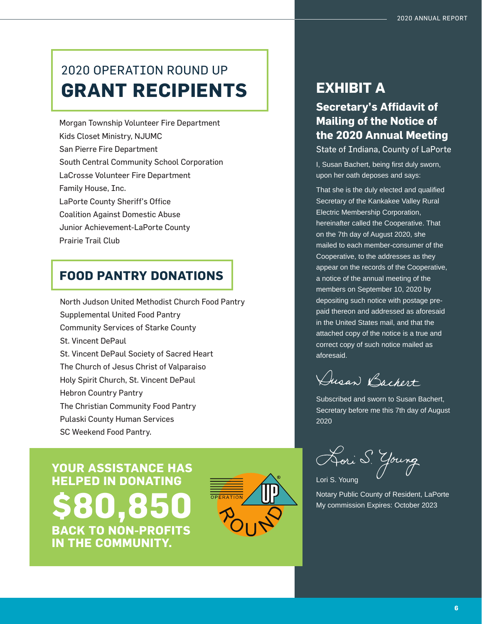#### 2020 OPERATION ROUND UP **GRANT RECIPIENTS**

Morgan Township Volunteer Fire Department Kids Closet Ministry, NJUMC San Pierre Fire Department South Central Community School Corporation LaCrosse Volunteer Fire Department Family House, Inc. LaPorte County Sheriff's Office Coalition Against Domestic Abuse Junior Achievement-LaPorte County

Prairie Trail Club

#### **FOOD PANTRY DONATIONS**

North Judson United Methodist Church Food Pantry Supplemental United Food Pantry Community Services of Starke County St. Vincent DePaul St. Vincent DePaul Society of Sacred Heart The Church of Jesus Christ of Valparaiso Holy Spirit Church, St. Vincent DePaul Hebron Country Pantry The Christian Community Food Pantry Pulaski County Human Services SC Weekend Food Pantry.

**YOUR ASSISTANCE HAS HELPED IN DONATING \$80,850 BACK TO NON-PROFITS IN THE COMMUNITY.** 



#### **EXHIBIT A**

#### **Secretary's Affidavit of Mailing of the Notice of the 2020 Annual Meeting**

State of Indiana, County of LaPorte

I, Susan Bachert, being first duly sworn, upon her oath deposes and says:

That she is the duly elected and qualified Secretary of the Kankakee Valley Rural Electric Membership Corporation, hereinafter called the Cooperative. That on the 7th day of August 2020, she mailed to each member-consumer of the Cooperative, to the addresses as they appear on the records of the Cooperative, a notice of the annual meeting of the members on September 10, 2020 by depositing such notice with postage prepaid thereon and addressed as aforesaid in the United States mail, and that the attached copy of the notice is a true and correct copy of such notice mailed as aforesaid.

Dusan Bachert

Subscribed and sworn to Susan Bachert, Secretary before me this 7th day of August 2020

Hori S. Young

Lori S. Young

Notary Public County of Resident, LaPorte My commission Expires: October 2023